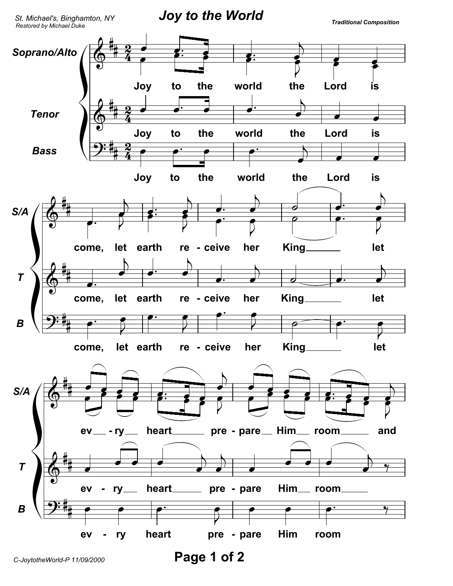

Page 1 of 2